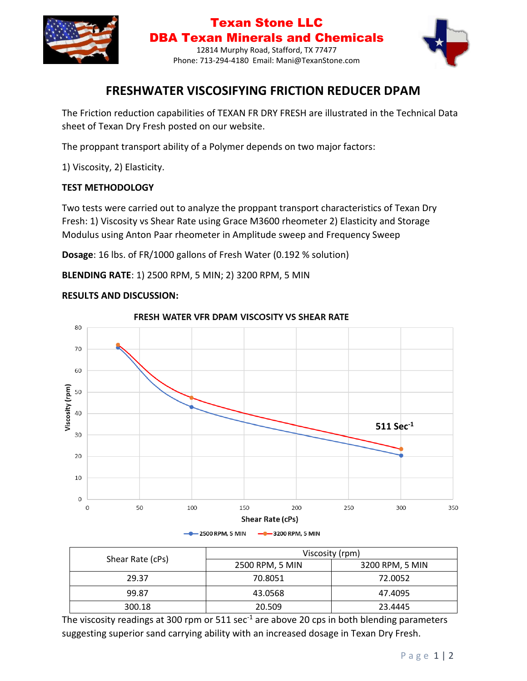

### Texan Stone LLC DBA Texan Minerals and Chemicals 12814 Murphy Road, Stafford, TX 77477 Phone: 713-294-4180 Email: Mani@TexanStone.com



# **FRESHWATER VISCOSIFYING FRICTION REDUCER DPAM**

The Friction reduction capabilities of TEXAN FR DRY FRESH are illustrated in the Technical Data sheet of Texan Dry Fresh posted on our website.

The proppant transport ability of a Polymer depends on two major factors:

1) Viscosity, 2) Elasticity.

#### **TEST METHODOLOGY**

Two tests were carried out to analyze the proppant transport characteristics of Texan Dry Fresh: 1) Viscosity vs Shear Rate using Grace M3600 rheometer 2) Elasticity and Storage Modulus using Anton Paar rheometer in Amplitude sweep and Frequency Sweep

**Dosage**: 16 lbs. of FR/1000 gallons of Fresh Water (0.192 % solution)

**BLENDING RATE**: 1) 2500 RPM, 5 MIN; 2) 3200 RPM, 5 MIN

#### **RESULTS AND DISCUSSION:**



FRESH WATER VFR DPAM VISCOSITY VS SHEAR RATE

| Shear Rate (cPs) | Viscosity (rpm) |                 |
|------------------|-----------------|-----------------|
|                  | 2500 RPM, 5 MIN | 3200 RPM, 5 MIN |
| 29.37            | 70.8051         | 72.0052         |
| 99.87            | 43.0568         | 47.4095         |
| 300.18           | 20.509          | 23.4445         |

The viscosity readings at 300 rpm or  $511 \text{ sec}^{-1}$  are above 20 cps in both blending parameters suggesting superior sand carrying ability with an increased dosage in Texan Dry Fresh.